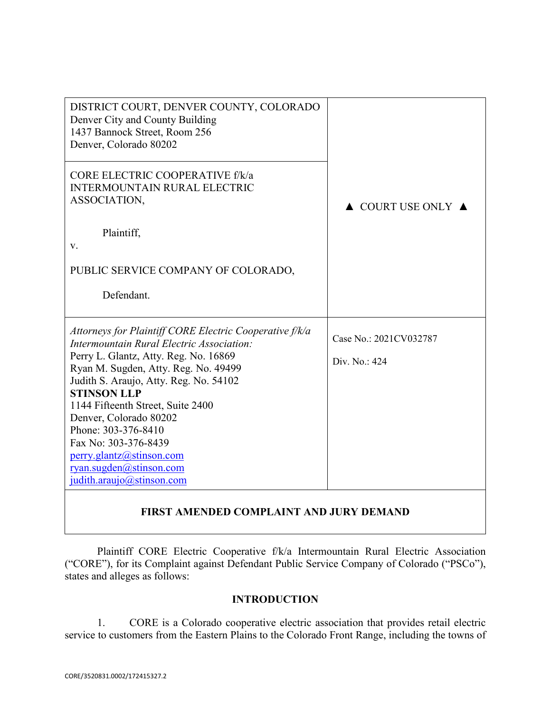| DISTRICT COURT, DENVER COUNTY, COLORADO<br>Denver City and County Building<br>1437 Bannock Street, Room 256<br>Denver, Colorado 80202 |                                        |
|---------------------------------------------------------------------------------------------------------------------------------------|----------------------------------------|
| CORE ELECTRIC COOPERATIVE f/k/a<br><b>INTERMOUNTAIN RURAL ELECTRIC</b><br>ASSOCIATION,                                                | $\triangle$ COURT USE ONLY $\triangle$ |
| Plaintiff,<br>v.                                                                                                                      |                                        |
| PUBLIC SERVICE COMPANY OF COLORADO,                                                                                                   |                                        |
| Defendant.                                                                                                                            |                                        |
| Attorneys for Plaintiff CORE Electric Cooperative f/k/a<br>Intermountain Rural Electric Association:                                  | Case No.: 2021CV032787                 |
| Perry L. Glantz, Atty. Reg. No. 16869<br>Ryan M. Sugden, Atty. Reg. No. 49499                                                         | Div. No.: 424                          |
| Judith S. Araujo, Atty. Reg. No. 54102<br><b>STINSON LLP</b><br>1144 Fifteenth Street, Suite 2400                                     |                                        |
| Denver, Colorado 80202<br>Phone: 303-376-8410                                                                                         |                                        |
| Fax No: 303-376-8439                                                                                                                  |                                        |
| perry.glantz@stinson.com<br>ryan.sugden@stinson.com                                                                                   |                                        |
| judith.araujo@stinson.com                                                                                                             |                                        |
|                                                                                                                                       |                                        |

# **FIRST AMENDED COMPLAINT AND JURY DEMAND**

Plaintiff CORE Electric Cooperative f/k/a Intermountain Rural Electric Association ("CORE"), for its Complaint against Defendant Public Service Company of Colorado ("PSCo"), states and alleges as follows:

## **INTRODUCTION**

1. CORE is a Colorado cooperative electric association that provides retail electric service to customers from the Eastern Plains to the Colorado Front Range, including the towns of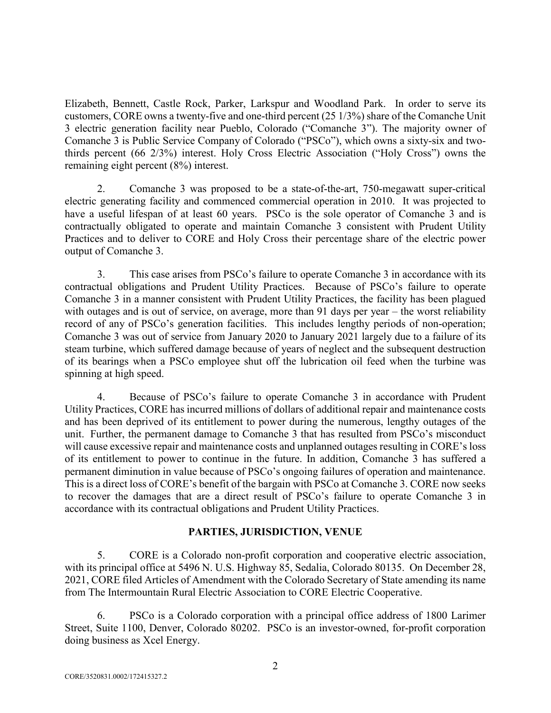Elizabeth, Bennett, Castle Rock, Parker, Larkspur and Woodland Park. In order to serve its customers, CORE owns a twenty-five and one-third percent (25 1/3%) share of the Comanche Unit 3 electric generation facility near Pueblo, Colorado ("Comanche 3"). The majority owner of Comanche 3 is Public Service Company of Colorado ("PSCo"), which owns a sixty-six and twothirds percent (66 2/3%) interest. Holy Cross Electric Association ("Holy Cross") owns the remaining eight percent (8%) interest.

2. Comanche 3 was proposed to be a state-of-the-art, 750-megawatt super-critical electric generating facility and commenced commercial operation in 2010. It was projected to have a useful lifespan of at least 60 years. PSCo is the sole operator of Comanche 3 and is contractually obligated to operate and maintain Comanche 3 consistent with Prudent Utility Practices and to deliver to CORE and Holy Cross their percentage share of the electric power output of Comanche 3.

3. This case arises from PSCo's failure to operate Comanche 3 in accordance with its contractual obligations and Prudent Utility Practices. Because of PSCo's failure to operate Comanche 3 in a manner consistent with Prudent Utility Practices, the facility has been plagued with outages and is out of service, on average, more than 91 days per year – the worst reliability record of any of PSCo's generation facilities. This includes lengthy periods of non-operation; Comanche 3 was out of service from January 2020 to January 2021 largely due to a failure of its steam turbine, which suffered damage because of years of neglect and the subsequent destruction of its bearings when a PSCo employee shut off the lubrication oil feed when the turbine was spinning at high speed.

4. Because of PSCo's failure to operate Comanche 3 in accordance with Prudent Utility Practices, CORE has incurred millions of dollars of additional repair and maintenance costs and has been deprived of its entitlement to power during the numerous, lengthy outages of the unit. Further, the permanent damage to Comanche 3 that has resulted from PSCo's misconduct will cause excessive repair and maintenance costs and unplanned outages resulting in CORE's loss of its entitlement to power to continue in the future. In addition, Comanche 3 has suffered a permanent diminution in value because of PSCo's ongoing failures of operation and maintenance. This is a direct loss of CORE's benefit of the bargain with PSCo at Comanche 3. CORE now seeks to recover the damages that are a direct result of PSCo's failure to operate Comanche 3 in accordance with its contractual obligations and Prudent Utility Practices.

## **PARTIES, JURISDICTION, VENUE**

5. CORE is a Colorado non-profit corporation and cooperative electric association, with its principal office at 5496 N. U.S. Highway 85, Sedalia, Colorado 80135. On December 28, 2021, CORE filed Articles of Amendment with the Colorado Secretary of State amending its name from The Intermountain Rural Electric Association to CORE Electric Cooperative.

6. PSCo is a Colorado corporation with a principal office address of 1800 Larimer Street, Suite 1100, Denver, Colorado 80202. PSCo is an investor-owned, for-profit corporation doing business as Xcel Energy.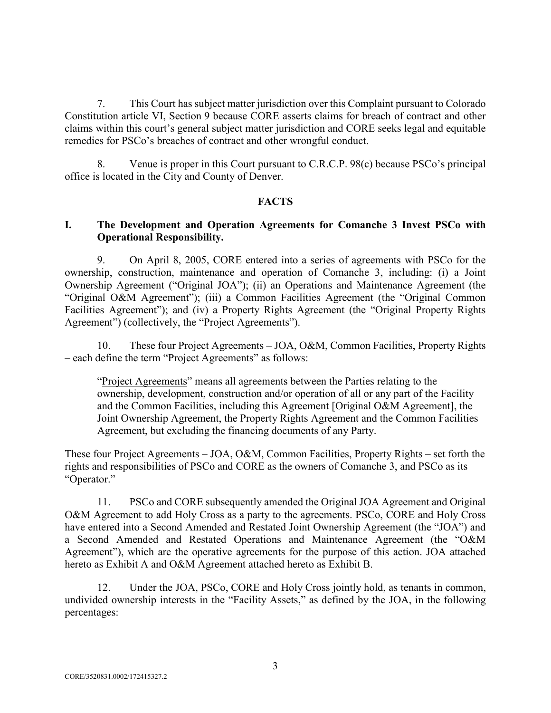7. This Court has subject matter jurisdiction over this Complaint pursuant to Colorado Constitution article VI, Section 9 because CORE asserts claims for breach of contract and other claims within this court's general subject matter jurisdiction and CORE seeks legal and equitable remedies for PSCo's breaches of contract and other wrongful conduct.

8. Venue is proper in this Court pursuant to C.R.C.P. 98(c) because PSCo's principal office is located in the City and County of Denver.

## **FACTS**

## **I. The Development and Operation Agreements for Comanche 3 Invest PSCo with Operational Responsibility.**

9. On April 8, 2005, CORE entered into a series of agreements with PSCo for the ownership, construction, maintenance and operation of Comanche 3, including: (i) a Joint Ownership Agreement ("Original JOA"); (ii) an Operations and Maintenance Agreement (the "Original O&M Agreement"); (iii) a Common Facilities Agreement (the "Original Common Facilities Agreement"); and (iv) a Property Rights Agreement (the "Original Property Rights Agreement") (collectively, the "Project Agreements").

10. These four Project Agreements – JOA, O&M, Common Facilities, Property Rights – each define the term "Project Agreements" as follows:

"Project Agreements" means all agreements between the Parties relating to the ownership, development, construction and/or operation of all or any part of the Facility and the Common Facilities, including this Agreement [Original O&M Agreement], the Joint Ownership Agreement, the Property Rights Agreement and the Common Facilities Agreement, but excluding the financing documents of any Party.

These four Project Agreements – JOA, O&M, Common Facilities, Property Rights – set forth the rights and responsibilities of PSCo and CORE as the owners of Comanche 3, and PSCo as its "Operator."

11. PSCo and CORE subsequently amended the Original JOA Agreement and Original O&M Agreement to add Holy Cross as a party to the agreements. PSCo, CORE and Holy Cross have entered into a Second Amended and Restated Joint Ownership Agreement (the "JOA") and a Second Amended and Restated Operations and Maintenance Agreement (the "O&M Agreement"), which are the operative agreements for the purpose of this action. JOA attached hereto as Exhibit A and O&M Agreement attached hereto as Exhibit B.

12. Under the JOA, PSCo, CORE and Holy Cross jointly hold, as tenants in common, undivided ownership interests in the "Facility Assets," as defined by the JOA, in the following percentages: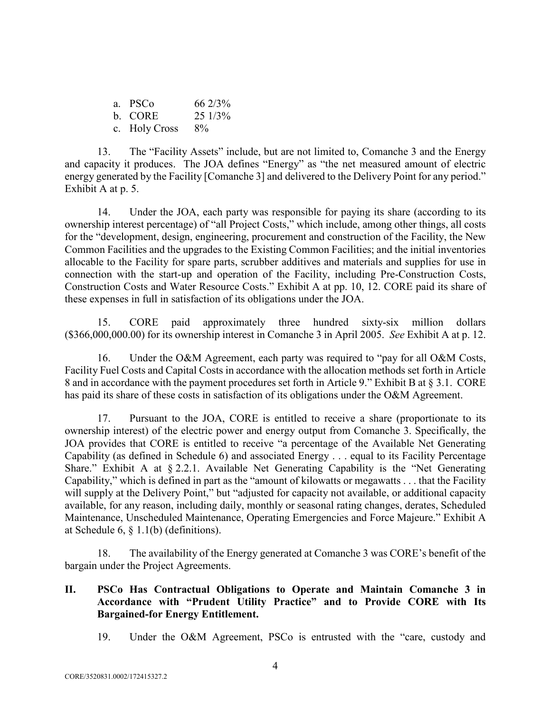| a. PSCo       | 66 2/3%   |
|---------------|-----------|
| b. CORE       | $251/3\%$ |
| c. Holy Cross | $8\%$     |

13. The "Facility Assets" include, but are not limited to, Comanche 3 and the Energy and capacity it produces. The JOA defines "Energy" as "the net measured amount of electric energy generated by the Facility [Comanche 3] and delivered to the Delivery Point for any period." Exhibit A at p. 5.

14. Under the JOA, each party was responsible for paying its share (according to its ownership interest percentage) of "all Project Costs," which include, among other things, all costs for the "development, design, engineering, procurement and construction of the Facility, the New Common Facilities and the upgrades to the Existing Common Facilities; and the initial inventories allocable to the Facility for spare parts, scrubber additives and materials and supplies for use in connection with the start-up and operation of the Facility, including Pre-Construction Costs, Construction Costs and Water Resource Costs." Exhibit A at pp. 10, 12. CORE paid its share of these expenses in full in satisfaction of its obligations under the JOA.

15. CORE paid approximately three hundred sixty-six million dollars (\$366,000,000.00) for its ownership interest in Comanche 3 in April 2005. *See* Exhibit A at p. 12.

16. Under the O&M Agreement, each party was required to "pay for all O&M Costs, Facility Fuel Costs and Capital Costs in accordance with the allocation methods set forth in Article 8 and in accordance with the payment procedures set forth in Article 9." Exhibit B at § 3.1. CORE has paid its share of these costs in satisfaction of its obligations under the O&M Agreement.

17. Pursuant to the JOA, CORE is entitled to receive a share (proportionate to its ownership interest) of the electric power and energy output from Comanche 3. Specifically, the JOA provides that CORE is entitled to receive "a percentage of the Available Net Generating Capability (as defined in Schedule 6) and associated Energy . . . equal to its Facility Percentage Share." Exhibit A at § 2.2.1. Available Net Generating Capability is the "Net Generating Capability," which is defined in part as the "amount of kilowatts or megawatts . . . that the Facility will supply at the Delivery Point," but "adjusted for capacity not available, or additional capacity available, for any reason, including daily, monthly or seasonal rating changes, derates, Scheduled Maintenance, Unscheduled Maintenance, Operating Emergencies and Force Majeure." Exhibit A at Schedule 6, § 1.1(b) (definitions).

18. The availability of the Energy generated at Comanche 3 was CORE's benefit of the bargain under the Project Agreements.

## **II. PSCo Has Contractual Obligations to Operate and Maintain Comanche 3 in Accordance with "Prudent Utility Practice" and to Provide CORE with Its Bargained-for Energy Entitlement.**

19. Under the O&M Agreement, PSCo is entrusted with the "care, custody and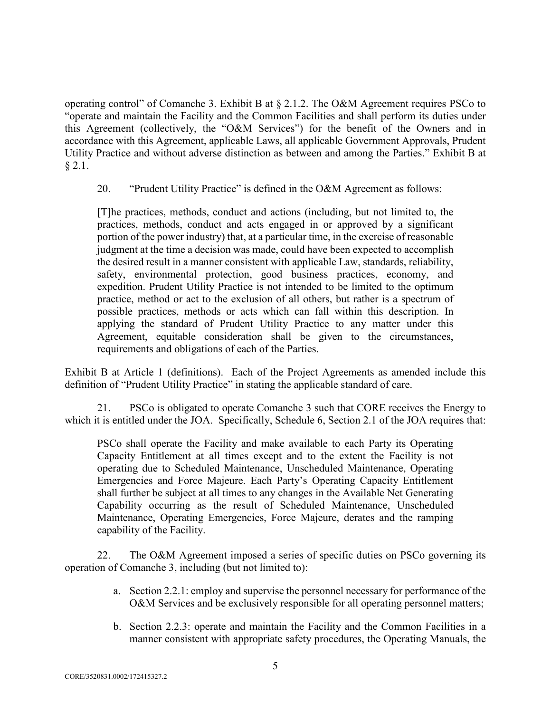operating control" of Comanche 3. Exhibit B at § 2.1.2. The O&M Agreement requires PSCo to "operate and maintain the Facility and the Common Facilities and shall perform its duties under this Agreement (collectively, the "O&M Services") for the benefit of the Owners and in accordance with this Agreement, applicable Laws, all applicable Government Approvals, Prudent Utility Practice and without adverse distinction as between and among the Parties." Exhibit B at  $§ 2.1.$ 

20. "Prudent Utility Practice" is defined in the O&M Agreement as follows:

[T]he practices, methods, conduct and actions (including, but not limited to, the practices, methods, conduct and acts engaged in or approved by a significant portion of the power industry) that, at a particular time, in the exercise of reasonable judgment at the time a decision was made, could have been expected to accomplish the desired result in a manner consistent with applicable Law, standards, reliability, safety, environmental protection, good business practices, economy, and expedition. Prudent Utility Practice is not intended to be limited to the optimum practice, method or act to the exclusion of all others, but rather is a spectrum of possible practices, methods or acts which can fall within this description. In applying the standard of Prudent Utility Practice to any matter under this Agreement, equitable consideration shall be given to the circumstances, requirements and obligations of each of the Parties.

Exhibit B at Article 1 (definitions). Each of the Project Agreements as amended include this definition of "Prudent Utility Practice" in stating the applicable standard of care.

21. PSCo is obligated to operate Comanche 3 such that CORE receives the Energy to which it is entitled under the JOA. Specifically, Schedule 6, Section 2.1 of the JOA requires that:

PSCo shall operate the Facility and make available to each Party its Operating Capacity Entitlement at all times except and to the extent the Facility is not operating due to Scheduled Maintenance, Unscheduled Maintenance, Operating Emergencies and Force Majeure. Each Party's Operating Capacity Entitlement shall further be subject at all times to any changes in the Available Net Generating Capability occurring as the result of Scheduled Maintenance, Unscheduled Maintenance, Operating Emergencies, Force Majeure, derates and the ramping capability of the Facility.

22. The O&M Agreement imposed a series of specific duties on PSCo governing its operation of Comanche 3, including (but not limited to):

- a. Section 2.2.1: employ and supervise the personnel necessary for performance of the O&M Services and be exclusively responsible for all operating personnel matters;
- b. Section 2.2.3: operate and maintain the Facility and the Common Facilities in a manner consistent with appropriate safety procedures, the Operating Manuals, the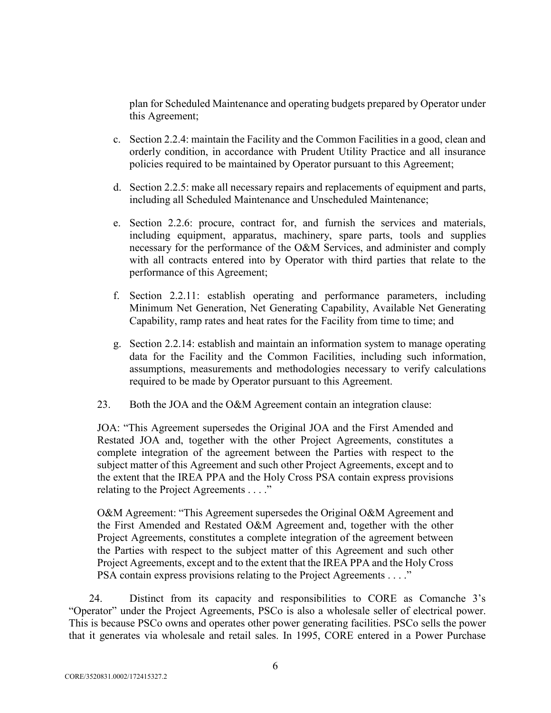plan for Scheduled Maintenance and operating budgets prepared by Operator under this Agreement;

- c. Section 2.2.4: maintain the Facility and the Common Facilities in a good, clean and orderly condition, in accordance with Prudent Utility Practice and all insurance policies required to be maintained by Operator pursuant to this Agreement;
- d. Section 2.2.5: make all necessary repairs and replacements of equipment and parts, including all Scheduled Maintenance and Unscheduled Maintenance;
- e. Section 2.2.6: procure, contract for, and furnish the services and materials, including equipment, apparatus, machinery, spare parts, tools and supplies necessary for the performance of the O&M Services, and administer and comply with all contracts entered into by Operator with third parties that relate to the performance of this Agreement;
- f. Section 2.2.11: establish operating and performance parameters, including Minimum Net Generation, Net Generating Capability, Available Net Generating Capability, ramp rates and heat rates for the Facility from time to time; and
- g. Section 2.2.14: establish and maintain an information system to manage operating data for the Facility and the Common Facilities, including such information, assumptions, measurements and methodologies necessary to verify calculations required to be made by Operator pursuant to this Agreement.
- 23. Both the JOA and the O&M Agreement contain an integration clause:

JOA: "This Agreement supersedes the Original JOA and the First Amended and Restated JOA and, together with the other Project Agreements, constitutes a complete integration of the agreement between the Parties with respect to the subject matter of this Agreement and such other Project Agreements, except and to the extent that the IREA PPA and the Holy Cross PSA contain express provisions relating to the Project Agreements . . . ."

O&M Agreement: "This Agreement supersedes the Original O&M Agreement and the First Amended and Restated O&M Agreement and, together with the other Project Agreements, constitutes a complete integration of the agreement between the Parties with respect to the subject matter of this Agreement and such other Project Agreements, except and to the extent that the IREA PPA and the Holy Cross PSA contain express provisions relating to the Project Agreements . . . ."

24. Distinct from its capacity and responsibilities to CORE as Comanche 3's "Operator" under the Project Agreements, PSCo is also a wholesale seller of electrical power. This is because PSCo owns and operates other power generating facilities. PSCo sells the power that it generates via wholesale and retail sales. In 1995, CORE entered in a Power Purchase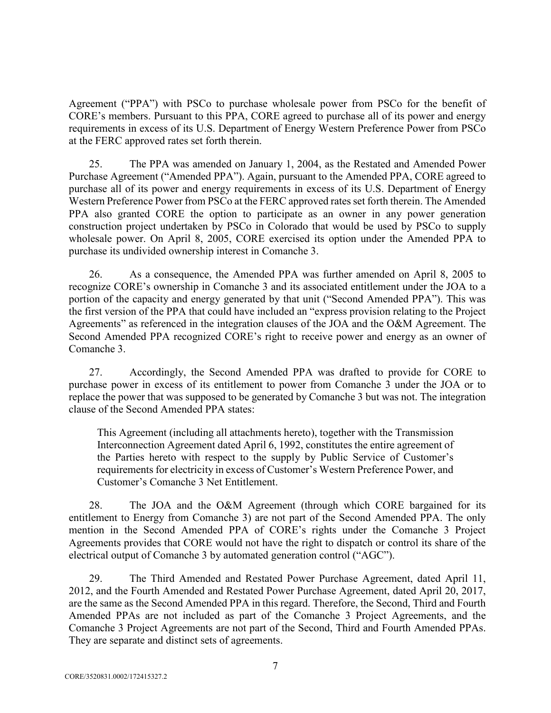Agreement ("PPA") with PSCo to purchase wholesale power from PSCo for the benefit of CORE's members. Pursuant to this PPA, CORE agreed to purchase all of its power and energy requirements in excess of its U.S. Department of Energy Western Preference Power from PSCo at the FERC approved rates set forth therein.

25. The PPA was amended on January 1, 2004, as the Restated and Amended Power Purchase Agreement ("Amended PPA"). Again, pursuant to the Amended PPA, CORE agreed to purchase all of its power and energy requirements in excess of its U.S. Department of Energy Western Preference Power from PSCo at the FERC approved rates set forth therein. The Amended PPA also granted CORE the option to participate as an owner in any power generation construction project undertaken by PSCo in Colorado that would be used by PSCo to supply wholesale power. On April 8, 2005, CORE exercised its option under the Amended PPA to purchase its undivided ownership interest in Comanche 3.

26. As a consequence, the Amended PPA was further amended on April 8, 2005 to recognize CORE's ownership in Comanche 3 and its associated entitlement under the JOA to a portion of the capacity and energy generated by that unit ("Second Amended PPA"). This was the first version of the PPA that could have included an "express provision relating to the Project Agreements" as referenced in the integration clauses of the JOA and the O&M Agreement. The Second Amended PPA recognized CORE's right to receive power and energy as an owner of Comanche 3.

27. Accordingly, the Second Amended PPA was drafted to provide for CORE to purchase power in excess of its entitlement to power from Comanche 3 under the JOA or to replace the power that was supposed to be generated by Comanche 3 but was not. The integration clause of the Second Amended PPA states:

This Agreement (including all attachments hereto), together with the Transmission Interconnection Agreement dated April 6, 1992, constitutes the entire agreement of the Parties hereto with respect to the supply by Public Service of Customer's requirements for electricity in excess of Customer's Western Preference Power, and Customer's Comanche 3 Net Entitlement.

28. The JOA and the O&M Agreement (through which CORE bargained for its entitlement to Energy from Comanche 3) are not part of the Second Amended PPA. The only mention in the Second Amended PPA of CORE's rights under the Comanche 3 Project Agreements provides that CORE would not have the right to dispatch or control its share of the electrical output of Comanche 3 by automated generation control ("AGC").

29. The Third Amended and Restated Power Purchase Agreement, dated April 11, 2012, and the Fourth Amended and Restated Power Purchase Agreement, dated April 20, 2017, are the same as the Second Amended PPA in this regard. Therefore, the Second, Third and Fourth Amended PPAs are not included as part of the Comanche 3 Project Agreements, and the Comanche 3 Project Agreements are not part of the Second, Third and Fourth Amended PPAs. They are separate and distinct sets of agreements.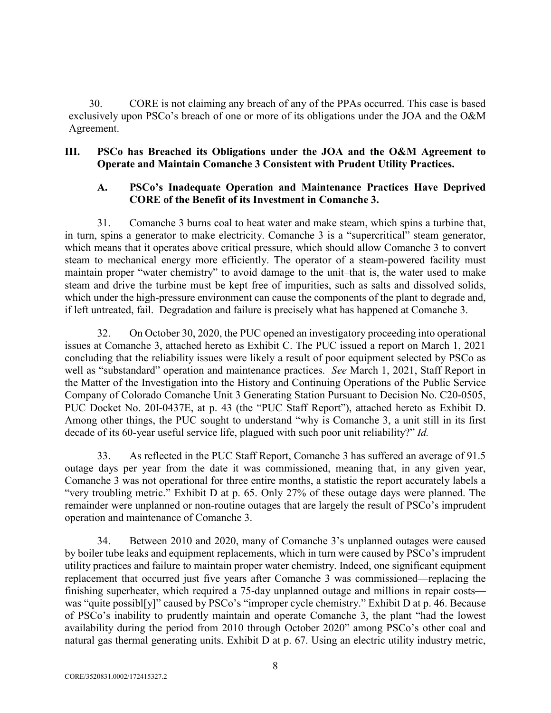30. CORE is not claiming any breach of any of the PPAs occurred. This case is based exclusively upon PSCo's breach of one or more of its obligations under the JOA and the O&M Agreement.

## **III. PSCo has Breached its Obligations under the JOA and the O&M Agreement to Operate and Maintain Comanche 3 Consistent with Prudent Utility Practices.**

## **A. PSCo's Inadequate Operation and Maintenance Practices Have Deprived CORE of the Benefit of its Investment in Comanche 3.**

31. Comanche 3 burns coal to heat water and make steam, which spins a turbine that, in turn, spins a generator to make electricity. Comanche 3 is a "supercritical" steam generator, which means that it operates above critical pressure, which should allow Comanche 3 to convert steam to mechanical energy more efficiently. The operator of a steam-powered facility must maintain proper "water chemistry" to avoid damage to the unit–that is, the water used to make steam and drive the turbine must be kept free of impurities, such as salts and dissolved solids, which under the high-pressure environment can cause the components of the plant to degrade and, if left untreated, fail. Degradation and failure is precisely what has happened at Comanche 3.

32. On October 30, 2020, the PUC opened an investigatory proceeding into operational issues at Comanche 3, attached hereto as Exhibit C. The PUC issued a report on March 1, 2021 concluding that the reliability issues were likely a result of poor equipment selected by PSCo as well as "substandard" operation and maintenance practices. *See* March 1, 2021, Staff Report in the Matter of the Investigation into the History and Continuing Operations of the Public Service Company of Colorado Comanche Unit 3 Generating Station Pursuant to Decision No. C20-0505, PUC Docket No. 20I-0437E, at p. 43 (the "PUC Staff Report"), attached hereto as Exhibit D. Among other things, the PUC sought to understand "why is Comanche 3, a unit still in its first decade of its 60-year useful service life, plagued with such poor unit reliability?" *Id.*

33. As reflected in the PUC Staff Report, Comanche 3 has suffered an average of 91.5 outage days per year from the date it was commissioned, meaning that, in any given year, Comanche 3 was not operational for three entire months, a statistic the report accurately labels a "very troubling metric." Exhibit D at p. 65. Only 27% of these outage days were planned. The remainder were unplanned or non-routine outages that are largely the result of PSCo's imprudent operation and maintenance of Comanche 3.

34. Between 2010 and 2020, many of Comanche 3's unplanned outages were caused by boiler tube leaks and equipment replacements, which in turn were caused by PSCo's imprudent utility practices and failure to maintain proper water chemistry. Indeed, one significant equipment replacement that occurred just five years after Comanche 3 was commissioned—replacing the finishing superheater, which required a 75-day unplanned outage and millions in repair costs was "quite possibl[y]" caused by PSCo's "improper cycle chemistry." Exhibit D at p. 46. Because of PSCo's inability to prudently maintain and operate Comanche 3, the plant "had the lowest availability during the period from 2010 through October 2020" among PSCo's other coal and natural gas thermal generating units. Exhibit D at p. 67. Using an electric utility industry metric,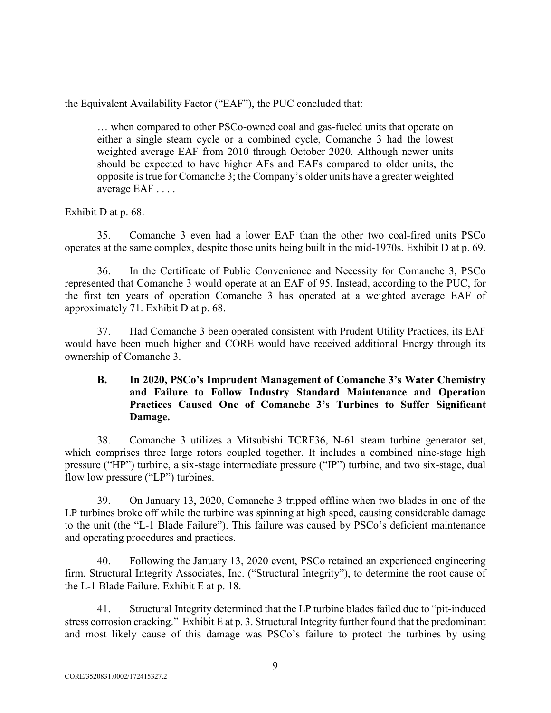the Equivalent Availability Factor ("EAF"), the PUC concluded that:

… when compared to other PSCo-owned coal and gas-fueled units that operate on either a single steam cycle or a combined cycle, Comanche 3 had the lowest weighted average EAF from 2010 through October 2020. Although newer units should be expected to have higher AFs and EAFs compared to older units, the opposite is true for Comanche 3; the Company's older units have a greater weighted average EAF . . . .

#### Exhibit D at p. 68.

35. Comanche 3 even had a lower EAF than the other two coal-fired units PSCo operates at the same complex, despite those units being built in the mid-1970s. Exhibit D at p. 69.

36. In the Certificate of Public Convenience and Necessity for Comanche 3, PSCo represented that Comanche 3 would operate at an EAF of 95. Instead, according to the PUC, for the first ten years of operation Comanche 3 has operated at a weighted average EAF of approximately 71. Exhibit D at p. 68.

37. Had Comanche 3 been operated consistent with Prudent Utility Practices, its EAF would have been much higher and CORE would have received additional Energy through its ownership of Comanche 3.

## **B. In 2020, PSCo's Imprudent Management of Comanche 3's Water Chemistry and Failure to Follow Industry Standard Maintenance and Operation Practices Caused One of Comanche 3's Turbines to Suffer Significant Damage.**

38. Comanche 3 utilizes a Mitsubishi TCRF36, N-61 steam turbine generator set, which comprises three large rotors coupled together. It includes a combined nine-stage high pressure ("HP") turbine, a six-stage intermediate pressure ("IP") turbine, and two six-stage, dual flow low pressure ("LP") turbines.

39. On January 13, 2020, Comanche 3 tripped offline when two blades in one of the LP turbines broke off while the turbine was spinning at high speed, causing considerable damage to the unit (the "L-1 Blade Failure"). This failure was caused by PSCo's deficient maintenance and operating procedures and practices.

40. Following the January 13, 2020 event, PSCo retained an experienced engineering firm, Structural Integrity Associates, Inc. ("Structural Integrity"), to determine the root cause of the L-1 Blade Failure. Exhibit E at p. 18.

41. Structural Integrity determined that the LP turbine blades failed due to "pit-induced stress corrosion cracking." Exhibit E at p. 3. Structural Integrity further found that the predominant and most likely cause of this damage was PSCo's failure to protect the turbines by using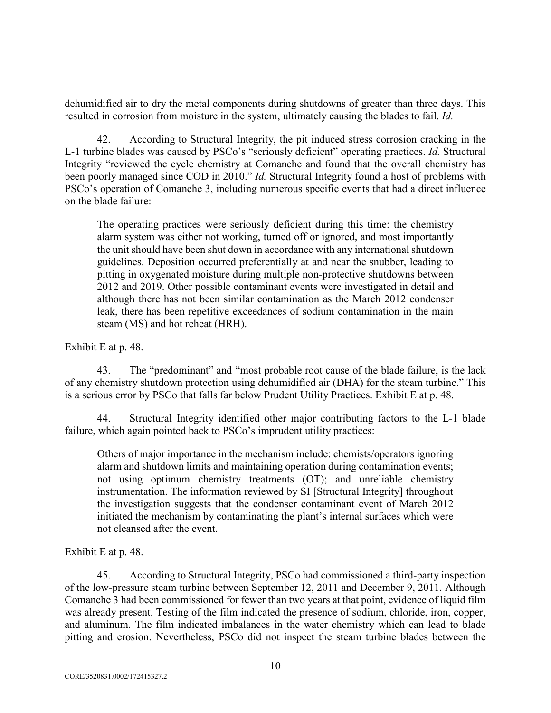dehumidified air to dry the metal components during shutdowns of greater than three days. This resulted in corrosion from moisture in the system, ultimately causing the blades to fail. *Id.* 

42. According to Structural Integrity, the pit induced stress corrosion cracking in the L-1 turbine blades was caused by PSCo's "seriously deficient" operating practices. *Id.* Structural Integrity "reviewed the cycle chemistry at Comanche and found that the overall chemistry has been poorly managed since COD in 2010." *Id.* Structural Integrity found a host of problems with PSCo's operation of Comanche 3, including numerous specific events that had a direct influence on the blade failure:

The operating practices were seriously deficient during this time: the chemistry alarm system was either not working, turned off or ignored, and most importantly the unit should have been shut down in accordance with any international shutdown guidelines. Deposition occurred preferentially at and near the snubber, leading to pitting in oxygenated moisture during multiple non-protective shutdowns between 2012 and 2019. Other possible contaminant events were investigated in detail and although there has not been similar contamination as the March 2012 condenser leak, there has been repetitive exceedances of sodium contamination in the main steam (MS) and hot reheat (HRH).

Exhibit E at p. 48.

43. The "predominant" and "most probable root cause of the blade failure, is the lack of any chemistry shutdown protection using dehumidified air (DHA) for the steam turbine." This is a serious error by PSCo that falls far below Prudent Utility Practices. Exhibit E at p. 48.

44. Structural Integrity identified other major contributing factors to the L-1 blade failure, which again pointed back to PSCo's imprudent utility practices:

Others of major importance in the mechanism include: chemists/operators ignoring alarm and shutdown limits and maintaining operation during contamination events; not using optimum chemistry treatments (OT); and unreliable chemistry instrumentation. The information reviewed by SI [Structural Integrity] throughout the investigation suggests that the condenser contaminant event of March 2012 initiated the mechanism by contaminating the plant's internal surfaces which were not cleansed after the event.

Exhibit E at p. 48.

45. According to Structural Integrity, PSCo had commissioned a third-party inspection of the low-pressure steam turbine between September 12, 2011 and December 9, 2011. Although Comanche 3 had been commissioned for fewer than two years at that point, evidence of liquid film was already present. Testing of the film indicated the presence of sodium, chloride, iron, copper, and aluminum. The film indicated imbalances in the water chemistry which can lead to blade pitting and erosion. Nevertheless, PSCo did not inspect the steam turbine blades between the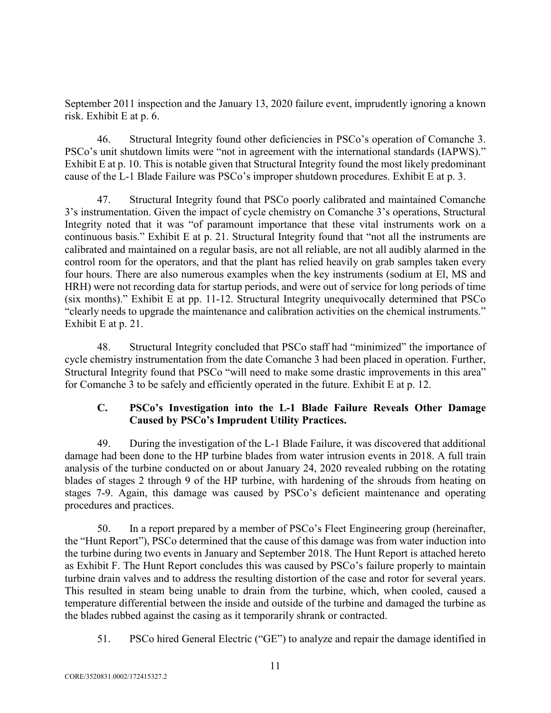September 2011 inspection and the January 13, 2020 failure event, imprudently ignoring a known risk. Exhibit E at p. 6.

46. Structural Integrity found other deficiencies in PSCo's operation of Comanche 3. PSCo's unit shutdown limits were "not in agreement with the international standards (IAPWS)." Exhibit E at p. 10. This is notable given that Structural Integrity found the most likely predominant cause of the L-1 Blade Failure was PSCo's improper shutdown procedures. Exhibit E at p. 3.

47. Structural Integrity found that PSCo poorly calibrated and maintained Comanche 3's instrumentation. Given the impact of cycle chemistry on Comanche 3's operations, Structural Integrity noted that it was "of paramount importance that these vital instruments work on a continuous basis." Exhibit E at p. 21. Structural Integrity found that "not all the instruments are calibrated and maintained on a regular basis, are not all reliable, are not all audibly alarmed in the control room for the operators, and that the plant has relied heavily on grab samples taken every four hours. There are also numerous examples when the key instruments (sodium at El, MS and HRH) were not recording data for startup periods, and were out of service for long periods of time (six months)." Exhibit E at pp. 11-12. Structural Integrity unequivocally determined that PSCo "clearly needs to upgrade the maintenance and calibration activities on the chemical instruments." Exhibit E at p. 21.

48. Structural Integrity concluded that PSCo staff had "minimized" the importance of cycle chemistry instrumentation from the date Comanche 3 had been placed in operation. Further, Structural Integrity found that PSCo "will need to make some drastic improvements in this area" for Comanche 3 to be safely and efficiently operated in the future. Exhibit E at p. 12.

# **C. PSCo's Investigation into the L-1 Blade Failure Reveals Other Damage Caused by PSCo's Imprudent Utility Practices.**

49. During the investigation of the L-1 Blade Failure, it was discovered that additional damage had been done to the HP turbine blades from water intrusion events in 2018. A full train analysis of the turbine conducted on or about January 24, 2020 revealed rubbing on the rotating blades of stages 2 through 9 of the HP turbine, with hardening of the shrouds from heating on stages 7-9. Again, this damage was caused by PSCo's deficient maintenance and operating procedures and practices.

50. In a report prepared by a member of PSCo's Fleet Engineering group (hereinafter, the "Hunt Report"), PSCo determined that the cause of this damage was from water induction into the turbine during two events in January and September 2018. The Hunt Report is attached hereto as Exhibit F. The Hunt Report concludes this was caused by PSCo's failure properly to maintain turbine drain valves and to address the resulting distortion of the case and rotor for several years. This resulted in steam being unable to drain from the turbine, which, when cooled, caused a temperature differential between the inside and outside of the turbine and damaged the turbine as the blades rubbed against the casing as it temporarily shrank or contracted.

51. PSCo hired General Electric ("GE") to analyze and repair the damage identified in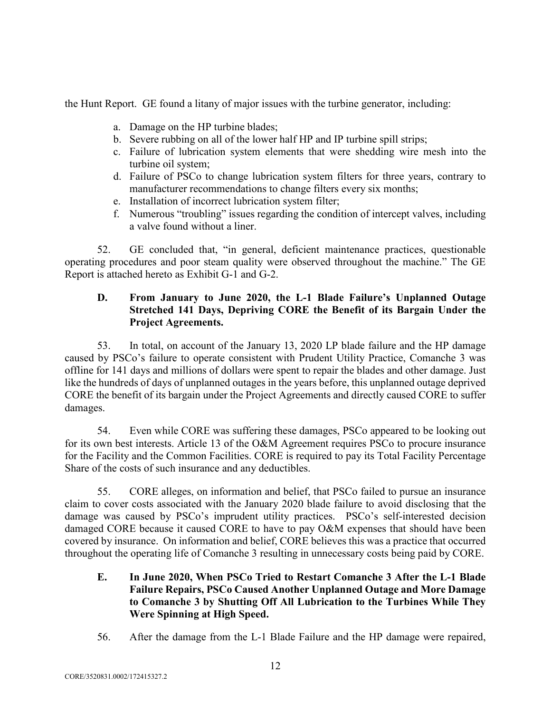the Hunt Report. GE found a litany of major issues with the turbine generator, including:

- a. Damage on the HP turbine blades;
- b. Severe rubbing on all of the lower half HP and IP turbine spill strips;
- c. Failure of lubrication system elements that were shedding wire mesh into the turbine oil system;
- d. Failure of PSCo to change lubrication system filters for three years, contrary to manufacturer recommendations to change filters every six months;
- e. Installation of incorrect lubrication system filter;
- f. Numerous "troubling" issues regarding the condition of intercept valves, including a valve found without a liner.

52. GE concluded that, "in general, deficient maintenance practices, questionable operating procedures and poor steam quality were observed throughout the machine." The GE Report is attached hereto as Exhibit G-1 and G-2.

## **D. From January to June 2020, the L-1 Blade Failure's Unplanned Outage Stretched 141 Days, Depriving CORE the Benefit of its Bargain Under the Project Agreements.**

53. In total, on account of the January 13, 2020 LP blade failure and the HP damage caused by PSCo's failure to operate consistent with Prudent Utility Practice, Comanche 3 was offline for 141 days and millions of dollars were spent to repair the blades and other damage. Just like the hundreds of days of unplanned outages in the years before, this unplanned outage deprived CORE the benefit of its bargain under the Project Agreements and directly caused CORE to suffer damages.

54. Even while CORE was suffering these damages, PSCo appeared to be looking out for its own best interests. Article 13 of the O&M Agreement requires PSCo to procure insurance for the Facility and the Common Facilities. CORE is required to pay its Total Facility Percentage Share of the costs of such insurance and any deductibles.

55. CORE alleges, on information and belief, that PSCo failed to pursue an insurance claim to cover costs associated with the January 2020 blade failure to avoid disclosing that the damage was caused by PSCo's imprudent utility practices. PSCo's self-interested decision damaged CORE because it caused CORE to have to pay O&M expenses that should have been covered by insurance. On information and belief, CORE believes this was a practice that occurred throughout the operating life of Comanche 3 resulting in unnecessary costs being paid by CORE.

- **E. In June 2020, When PSCo Tried to Restart Comanche 3 After the L-1 Blade Failure Repairs, PSCo Caused Another Unplanned Outage and More Damage to Comanche 3 by Shutting Off All Lubrication to the Turbines While They Were Spinning at High Speed.**
- 56. After the damage from the L-1 Blade Failure and the HP damage were repaired,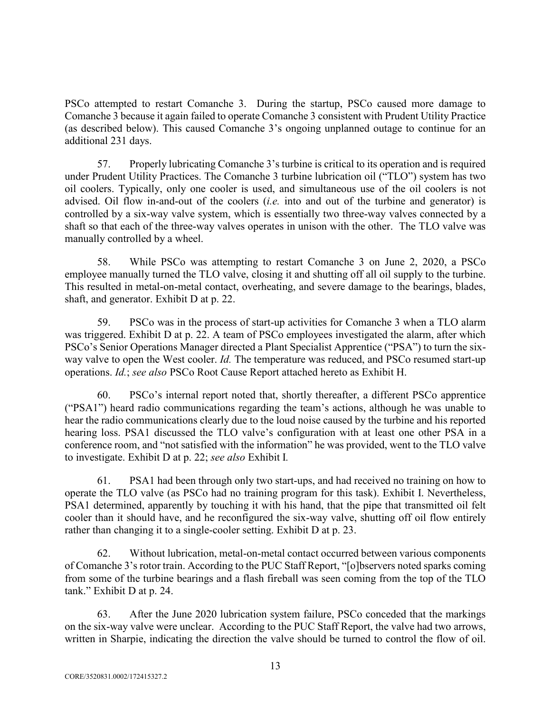PSCo attempted to restart Comanche 3. During the startup, PSCo caused more damage to Comanche 3 because it again failed to operate Comanche 3 consistent with Prudent Utility Practice (as described below). This caused Comanche 3's ongoing unplanned outage to continue for an additional 231 days.

57. Properly lubricating Comanche 3's turbine is critical to its operation and is required under Prudent Utility Practices. The Comanche 3 turbine lubrication oil ("TLO") system has two oil coolers. Typically, only one cooler is used, and simultaneous use of the oil coolers is not advised. Oil flow in-and-out of the coolers (*i.e.* into and out of the turbine and generator) is controlled by a six-way valve system, which is essentially two three-way valves connected by a shaft so that each of the three-way valves operates in unison with the other. The TLO valve was manually controlled by a wheel.

58. While PSCo was attempting to restart Comanche 3 on June 2, 2020, a PSCo employee manually turned the TLO valve, closing it and shutting off all oil supply to the turbine. This resulted in metal-on-metal contact, overheating, and severe damage to the bearings, blades, shaft, and generator. Exhibit D at p. 22.

59. PSCo was in the process of start-up activities for Comanche 3 when a TLO alarm was triggered. Exhibit D at p. 22. A team of PSCo employees investigated the alarm, after which PSCo's Senior Operations Manager directed a Plant Specialist Apprentice ("PSA") to turn the sixway valve to open the West cooler. *Id.* The temperature was reduced, and PSCo resumed start-up operations. *Id.*; *see also* PSCo Root Cause Report attached hereto as Exhibit H.

60. PSCo's internal report noted that, shortly thereafter, a different PSCo apprentice ("PSA1") heard radio communications regarding the team's actions, although he was unable to hear the radio communications clearly due to the loud noise caused by the turbine and his reported hearing loss. PSA1 discussed the TLO valve's configuration with at least one other PSA in a conference room, and "not satisfied with the information" he was provided, went to the TLO valve to investigate. Exhibit D at p. 22; *see also* Exhibit I*.*

61. PSA1 had been through only two start-ups, and had received no training on how to operate the TLO valve (as PSCo had no training program for this task). Exhibit I. Nevertheless, PSA1 determined, apparently by touching it with his hand, that the pipe that transmitted oil felt cooler than it should have, and he reconfigured the six-way valve, shutting off oil flow entirely rather than changing it to a single-cooler setting. Exhibit D at p. 23.

62. Without lubrication, metal-on-metal contact occurred between various components of Comanche 3's rotor train. According to the PUC Staff Report, "[o]bservers noted sparks coming from some of the turbine bearings and a flash fireball was seen coming from the top of the TLO tank." Exhibit D at p. 24.

63. After the June 2020 lubrication system failure, PSCo conceded that the markings on the six-way valve were unclear. According to the PUC Staff Report, the valve had two arrows, written in Sharpie, indicating the direction the valve should be turned to control the flow of oil.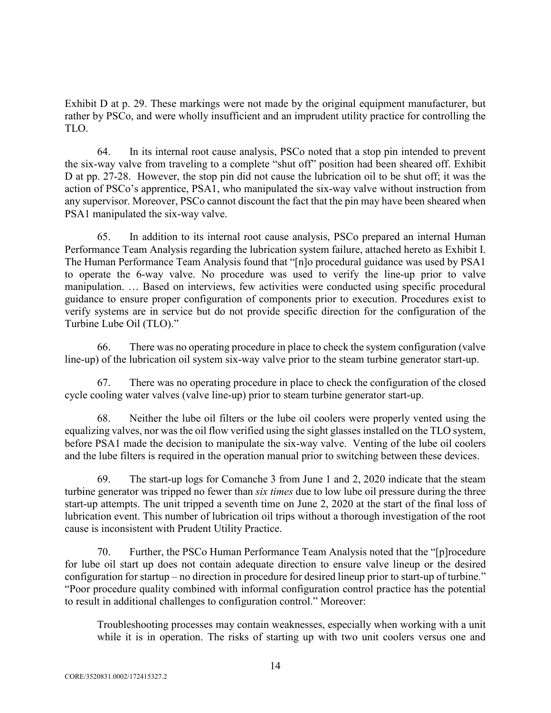Exhibit D at p. 29. These markings were not made by the original equipment manufacturer, but rather by PSCo, and were wholly insufficient and an imprudent utility practice for controlling the TLO.

64. In its internal root cause analysis, PSCo noted that a stop pin intended to prevent the six-way valve from traveling to a complete "shut off" position had been sheared off. Exhibit D at pp. 27-28. However, the stop pin did not cause the lubrication oil to be shut off; it was the action of PSCo's apprentice, PSA1, who manipulated the six-way valve without instruction from any supervisor. Moreover, PSCo cannot discount the fact that the pin may have been sheared when PSA1 manipulated the six-way valve.

65. In addition to its internal root cause analysis, PSCo prepared an internal Human Performance Team Analysis regarding the lubrication system failure, attached hereto as Exhibit I. The Human Performance Team Analysis found that "[n]o procedural guidance was used by PSA1 to operate the 6-way valve. No procedure was used to verify the line-up prior to valve manipulation. … Based on interviews, few activities were conducted using specific procedural guidance to ensure proper configuration of components prior to execution. Procedures exist to verify systems are in service but do not provide specific direction for the configuration of the Turbine Lube Oil (TLO)."

66. There was no operating procedure in place to check the system configuration (valve line-up) of the lubrication oil system six-way valve prior to the steam turbine generator start-up.

67. There was no operating procedure in place to check the configuration of the closed cycle cooling water valves (valve line-up) prior to steam turbine generator start-up.

68. Neither the lube oil filters or the lube oil coolers were properly vented using the equalizing valves, nor was the oil flow verified using the sight glasses installed on the TLO system, before PSA1 made the decision to manipulate the six-way valve. Venting of the lube oil coolers and the lube filters is required in the operation manual prior to switching between these devices.

69. The start-up logs for Comanche 3 from June 1 and 2, 2020 indicate that the steam turbine generator was tripped no fewer than *six times* due to low lube oil pressure during the three start-up attempts. The unit tripped a seventh time on June 2, 2020 at the start of the final loss of lubrication event. This number of lubrication oil trips without a thorough investigation of the root cause is inconsistent with Prudent Utility Practice.

70. Further, the PSCo Human Performance Team Analysis noted that the "[p]rocedure for lube oil start up does not contain adequate direction to ensure valve lineup or the desired configuration for startup – no direction in procedure for desired lineup prior to start-up of turbine." "Poor procedure quality combined with informal configuration control practice has the potential to result in additional challenges to configuration control." Moreover:

Troubleshooting processes may contain weaknesses, especially when working with a unit while it is in operation. The risks of starting up with two unit coolers versus one and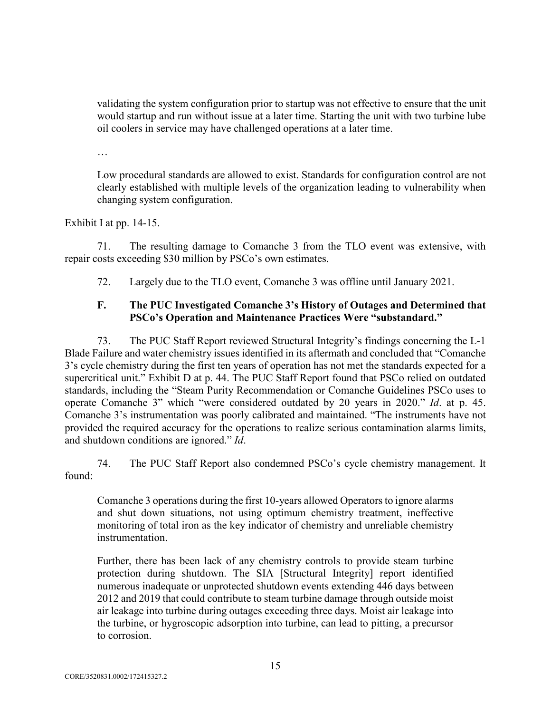validating the system configuration prior to startup was not effective to ensure that the unit would startup and run without issue at a later time. Starting the unit with two turbine lube oil coolers in service may have challenged operations at a later time.

…

Low procedural standards are allowed to exist. Standards for configuration control are not clearly established with multiple levels of the organization leading to vulnerability when changing system configuration.

Exhibit I at pp. 14-15.

71. The resulting damage to Comanche 3 from the TLO event was extensive, with repair costs exceeding \$30 million by PSCo's own estimates.

72. Largely due to the TLO event, Comanche 3 was offline until January 2021.

## **F. The PUC Investigated Comanche 3's History of Outages and Determined that PSCo's Operation and Maintenance Practices Were "substandard."**

73. The PUC Staff Report reviewed Structural Integrity's findings concerning the L-1 Blade Failure and water chemistry issues identified in its aftermath and concluded that "Comanche 3's cycle chemistry during the first ten years of operation has not met the standards expected for a supercritical unit." Exhibit D at p. 44. The PUC Staff Report found that PSCo relied on outdated standards, including the "Steam Purity Recommendation or Comanche Guidelines PSCo uses to operate Comanche 3" which "were considered outdated by 20 years in 2020." *Id*. at p. 45. Comanche 3's instrumentation was poorly calibrated and maintained. "The instruments have not provided the required accuracy for the operations to realize serious contamination alarms limits, and shutdown conditions are ignored." *Id*.

74. The PUC Staff Report also condemned PSCo's cycle chemistry management. It found:

Comanche 3 operations during the first 10-years allowed Operators to ignore alarms and shut down situations, not using optimum chemistry treatment, ineffective monitoring of total iron as the key indicator of chemistry and unreliable chemistry instrumentation.

Further, there has been lack of any chemistry controls to provide steam turbine protection during shutdown. The SIA [Structural Integrity] report identified numerous inadequate or unprotected shutdown events extending 446 days between 2012 and 2019 that could contribute to steam turbine damage through outside moist air leakage into turbine during outages exceeding three days. Moist air leakage into the turbine, or hygroscopic adsorption into turbine, can lead to pitting, a precursor to corrosion.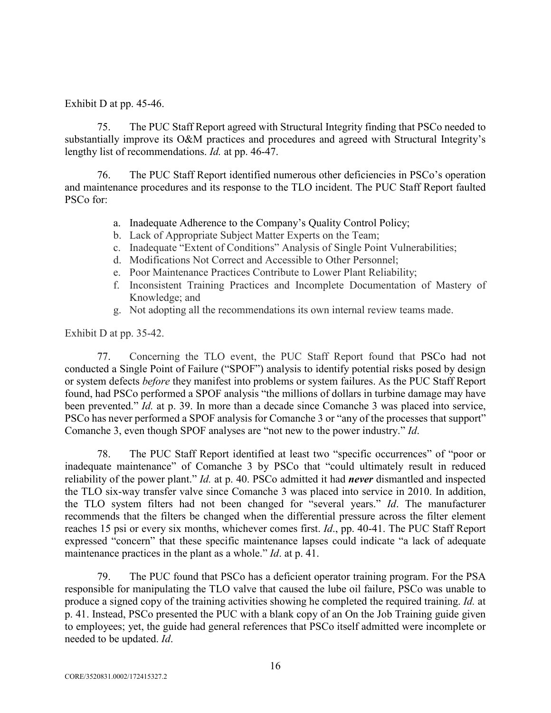Exhibit D at pp. 45-46.

75. The PUC Staff Report agreed with Structural Integrity finding that PSCo needed to substantially improve its O&M practices and procedures and agreed with Structural Integrity's lengthy list of recommendations. *Id.* at pp. 46-47.

76. The PUC Staff Report identified numerous other deficiencies in PSCo's operation and maintenance procedures and its response to the TLO incident. The PUC Staff Report faulted PSCo for:

- a. Inadequate Adherence to the Company's Quality Control Policy;
- b. Lack of Appropriate Subject Matter Experts on the Team;
- c. Inadequate "Extent of Conditions" Analysis of Single Point Vulnerabilities;
- d. Modifications Not Correct and Accessible to Other Personnel;
- e. Poor Maintenance Practices Contribute to Lower Plant Reliability;
- f. Inconsistent Training Practices and Incomplete Documentation of Mastery of Knowledge; and
- g. Not adopting all the recommendations its own internal review teams made.

Exhibit D at pp. 35-42.

77. Concerning the TLO event, the PUC Staff Report found that PSCo had not conducted a Single Point of Failure ("SPOF") analysis to identify potential risks posed by design or system defects *before* they manifest into problems or system failures. As the PUC Staff Report found, had PSCo performed a SPOF analysis "the millions of dollars in turbine damage may have been prevented." *Id.* at p. 39. In more than a decade since Comanche 3 was placed into service, PSCo has never performed a SPOF analysis for Comanche 3 or "any of the processes that support" Comanche 3, even though SPOF analyses are "not new to the power industry." *Id*.

78. The PUC Staff Report identified at least two "specific occurrences" of "poor or inadequate maintenance" of Comanche 3 by PSCo that "could ultimately result in reduced reliability of the power plant." *Id.* at p. 40. PSCo admitted it had *never* dismantled and inspected the TLO six-way transfer valve since Comanche 3 was placed into service in 2010. In addition, the TLO system filters had not been changed for "several years." *Id*. The manufacturer recommends that the filters be changed when the differential pressure across the filter element reaches 15 psi or every six months, whichever comes first. *Id*., pp. 40-41. The PUC Staff Report expressed "concern" that these specific maintenance lapses could indicate "a lack of adequate maintenance practices in the plant as a whole." *Id*. at p. 41.

79. The PUC found that PSCo has a deficient operator training program. For the PSA responsible for manipulating the TLO valve that caused the lube oil failure, PSCo was unable to produce a signed copy of the training activities showing he completed the required training. *Id.* at p. 41. Instead, PSCo presented the PUC with a blank copy of an On the Job Training guide given to employees; yet, the guide had general references that PSCo itself admitted were incomplete or needed to be updated. *Id*.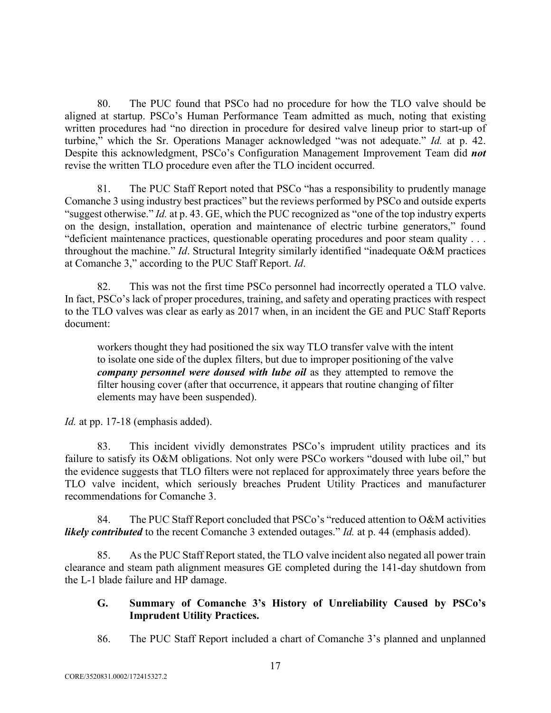80. The PUC found that PSCo had no procedure for how the TLO valve should be aligned at startup. PSCo's Human Performance Team admitted as much, noting that existing written procedures had "no direction in procedure for desired valve lineup prior to start-up of turbine," which the Sr. Operations Manager acknowledged "was not adequate." *Id.* at p. 42. Despite this acknowledgment, PSCo's Configuration Management Improvement Team did *not*  revise the written TLO procedure even after the TLO incident occurred.

81. The PUC Staff Report noted that PSCo "has a responsibility to prudently manage Comanche 3 using industry best practices" but the reviews performed by PSCo and outside experts "suggest otherwise." *Id.* at p. 43. GE, which the PUC recognized as "one of the top industry experts on the design, installation, operation and maintenance of electric turbine generators," found "deficient maintenance practices, questionable operating procedures and poor steam quality . . . throughout the machine." *Id*. Structural Integrity similarly identified "inadequate O&M practices at Comanche 3," according to the PUC Staff Report. *Id*.

82. This was not the first time PSCo personnel had incorrectly operated a TLO valve. In fact, PSCo's lack of proper procedures, training, and safety and operating practices with respect to the TLO valves was clear as early as 2017 when, in an incident the GE and PUC Staff Reports document:

workers thought they had positioned the six way TLO transfer valve with the intent to isolate one side of the duplex filters, but due to improper positioning of the valve *company personnel were doused with lube oil* as they attempted to remove the filter housing cover (after that occurrence, it appears that routine changing of filter elements may have been suspended).

*Id.* at pp. 17-18 (emphasis added).

83. This incident vividly demonstrates PSCo's imprudent utility practices and its failure to satisfy its O&M obligations. Not only were PSCo workers "doused with lube oil," but the evidence suggests that TLO filters were not replaced for approximately three years before the TLO valve incident, which seriously breaches Prudent Utility Practices and manufacturer recommendations for Comanche 3.

84. The PUC Staff Report concluded that PSCo's "reduced attention to O&M activities *likely contributed* to the recent Comanche 3 extended outages." *Id.* at p. 44 (emphasis added).

85. As the PUC Staff Report stated, the TLO valve incident also negated all power train clearance and steam path alignment measures GE completed during the 141-day shutdown from the L-1 blade failure and HP damage.

## **G. Summary of Comanche 3's History of Unreliability Caused by PSCo's Imprudent Utility Practices.**

86. The PUC Staff Report included a chart of Comanche 3's planned and unplanned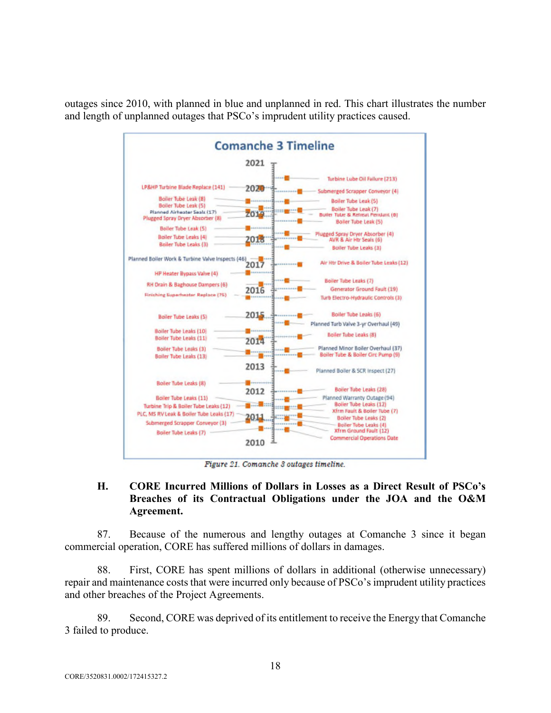outages since 2010, with planned in blue and unplanned in red. This chart illustrates the number and length of unplanned outages that PSCo's imprudent utility practices caused.



Figure 21. Comanche 3 outages timeline.

## **H. CORE Incurred Millions of Dollars in Losses as a Direct Result of PSCo's Breaches of its Contractual Obligations under the JOA and the O&M Agreement.**

87. Because of the numerous and lengthy outages at Comanche 3 since it began commercial operation, CORE has suffered millions of dollars in damages.

88. First, CORE has spent millions of dollars in additional (otherwise unnecessary) repair and maintenance costs that were incurred only because of PSCo's imprudent utility practices and other breaches of the Project Agreements.

89. Second, CORE was deprived of its entitlement to receive the Energy that Comanche 3 failed to produce.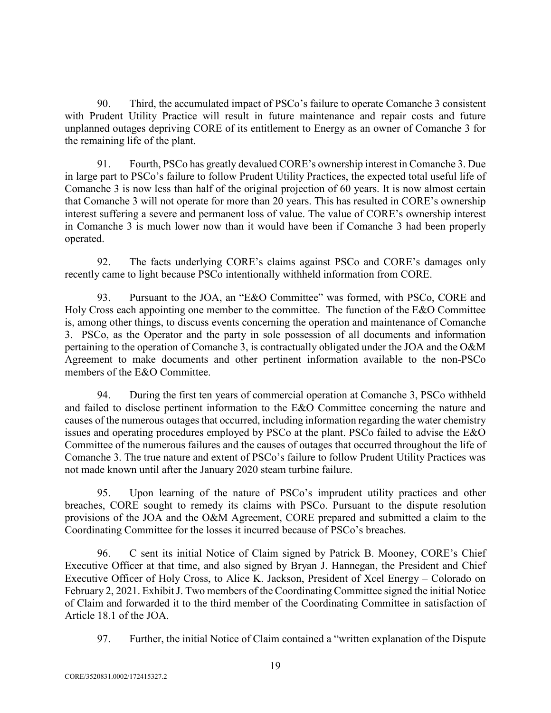90. Third, the accumulated impact of PSCo's failure to operate Comanche 3 consistent with Prudent Utility Practice will result in future maintenance and repair costs and future unplanned outages depriving CORE of its entitlement to Energy as an owner of Comanche 3 for the remaining life of the plant.

91. Fourth, PSCo has greatly devalued CORE's ownership interest in Comanche 3. Due in large part to PSCo's failure to follow Prudent Utility Practices, the expected total useful life of Comanche 3 is now less than half of the original projection of 60 years. It is now almost certain that Comanche 3 will not operate for more than 20 years. This has resulted in CORE's ownership interest suffering a severe and permanent loss of value. The value of CORE's ownership interest in Comanche 3 is much lower now than it would have been if Comanche 3 had been properly operated.

92. The facts underlying CORE's claims against PSCo and CORE's damages only recently came to light because PSCo intentionally withheld information from CORE.

93. Pursuant to the JOA, an "E&O Committee" was formed, with PSCo, CORE and Holy Cross each appointing one member to the committee. The function of the E&O Committee is, among other things, to discuss events concerning the operation and maintenance of Comanche 3. PSCo, as the Operator and the party in sole possession of all documents and information pertaining to the operation of Comanche 3, is contractually obligated under the JOA and the O&M Agreement to make documents and other pertinent information available to the non-PSCo members of the E&O Committee.

94. During the first ten years of commercial operation at Comanche 3, PSCo withheld and failed to disclose pertinent information to the E&O Committee concerning the nature and causes of the numerous outages that occurred, including information regarding the water chemistry issues and operating procedures employed by PSCo at the plant. PSCo failed to advise the E&O Committee of the numerous failures and the causes of outages that occurred throughout the life of Comanche 3. The true nature and extent of PSCo's failure to follow Prudent Utility Practices was not made known until after the January 2020 steam turbine failure.

95. Upon learning of the nature of PSCo's imprudent utility practices and other breaches, CORE sought to remedy its claims with PSCo. Pursuant to the dispute resolution provisions of the JOA and the O&M Agreement, CORE prepared and submitted a claim to the Coordinating Committee for the losses it incurred because of PSCo's breaches.

96. C sent its initial Notice of Claim signed by Patrick B. Mooney, CORE's Chief Executive Officer at that time, and also signed by Bryan J. Hannegan, the President and Chief Executive Officer of Holy Cross, to Alice K. Jackson, President of Xcel Energy – Colorado on February 2, 2021. Exhibit J. Two members of the Coordinating Committee signed the initial Notice of Claim and forwarded it to the third member of the Coordinating Committee in satisfaction of Article 18.1 of the JOA.

97. Further, the initial Notice of Claim contained a "written explanation of the Dispute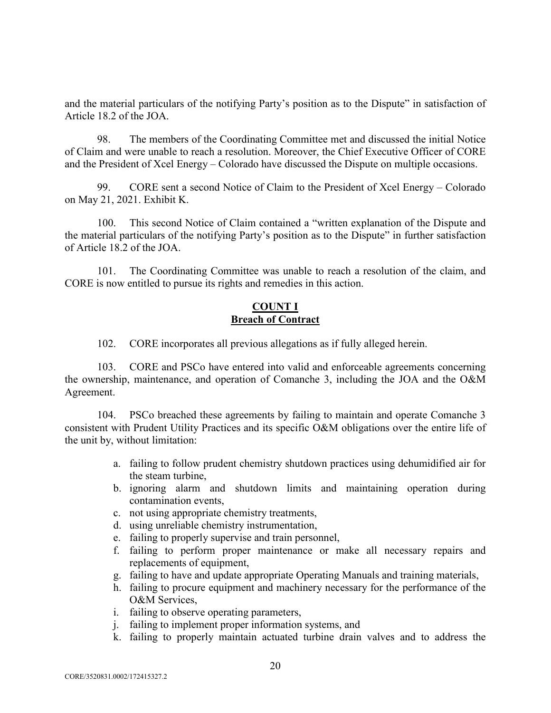and the material particulars of the notifying Party's position as to the Dispute" in satisfaction of Article 18.2 of the JOA.

98. The members of the Coordinating Committee met and discussed the initial Notice of Claim and were unable to reach a resolution. Moreover, the Chief Executive Officer of CORE and the President of Xcel Energy – Colorado have discussed the Dispute on multiple occasions.

99. CORE sent a second Notice of Claim to the President of Xcel Energy – Colorado on May 21, 2021. Exhibit K.

100. This second Notice of Claim contained a "written explanation of the Dispute and the material particulars of the notifying Party's position as to the Dispute" in further satisfaction of Article 18.2 of the JOA.

101. The Coordinating Committee was unable to reach a resolution of the claim, and CORE is now entitled to pursue its rights and remedies in this action.

## **COUNT I Breach of Contract**

102. CORE incorporates all previous allegations as if fully alleged herein.

103. CORE and PSCo have entered into valid and enforceable agreements concerning the ownership, maintenance, and operation of Comanche 3, including the JOA and the O&M Agreement.

104. PSCo breached these agreements by failing to maintain and operate Comanche 3 consistent with Prudent Utility Practices and its specific O&M obligations over the entire life of the unit by, without limitation:

- a. failing to follow prudent chemistry shutdown practices using dehumidified air for the steam turbine,
- b. ignoring alarm and shutdown limits and maintaining operation during contamination events,
- c. not using appropriate chemistry treatments,
- d. using unreliable chemistry instrumentation,
- e. failing to properly supervise and train personnel,
- f. failing to perform proper maintenance or make all necessary repairs and replacements of equipment,
- g. failing to have and update appropriate Operating Manuals and training materials,
- h. failing to procure equipment and machinery necessary for the performance of the O&M Services,
- i. failing to observe operating parameters,
- j. failing to implement proper information systems, and
- k. failing to properly maintain actuated turbine drain valves and to address the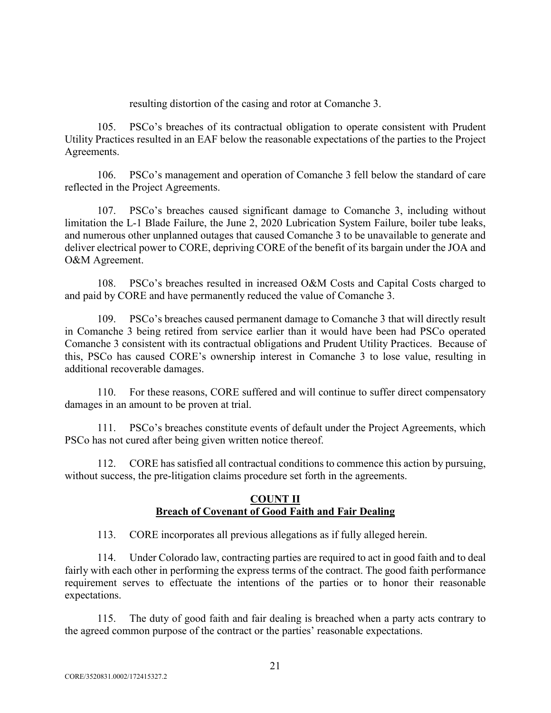resulting distortion of the casing and rotor at Comanche 3.

105. PSCo's breaches of its contractual obligation to operate consistent with Prudent Utility Practices resulted in an EAF below the reasonable expectations of the parties to the Project Agreements.

106. PSCo's management and operation of Comanche 3 fell below the standard of care reflected in the Project Agreements.

107. PSCo's breaches caused significant damage to Comanche 3, including without limitation the L-1 Blade Failure, the June 2, 2020 Lubrication System Failure, boiler tube leaks, and numerous other unplanned outages that caused Comanche 3 to be unavailable to generate and deliver electrical power to CORE, depriving CORE of the benefit of its bargain under the JOA and O&M Agreement.

108. PSCo's breaches resulted in increased O&M Costs and Capital Costs charged to and paid by CORE and have permanently reduced the value of Comanche 3.

109. PSCo's breaches caused permanent damage to Comanche 3 that will directly result in Comanche 3 being retired from service earlier than it would have been had PSCo operated Comanche 3 consistent with its contractual obligations and Prudent Utility Practices. Because of this, PSCo has caused CORE's ownership interest in Comanche 3 to lose value, resulting in additional recoverable damages.

110. For these reasons, CORE suffered and will continue to suffer direct compensatory damages in an amount to be proven at trial.

111. PSCo's breaches constitute events of default under the Project Agreements, which PSCo has not cured after being given written notice thereof.

112. CORE has satisfied all contractual conditions to commence this action by pursuing, without success, the pre-litigation claims procedure set forth in the agreements.

## **COUNT II Breach of Covenant of Good Faith and Fair Dealing**

113. CORE incorporates all previous allegations as if fully alleged herein.

114. Under Colorado law, contracting parties are required to act in good faith and to deal fairly with each other in performing the express terms of the contract. The good faith performance requirement serves to effectuate the intentions of the parties or to honor their reasonable expectations.

115. The duty of good faith and fair dealing is breached when a party acts contrary to the agreed common purpose of the contract or the parties' reasonable expectations.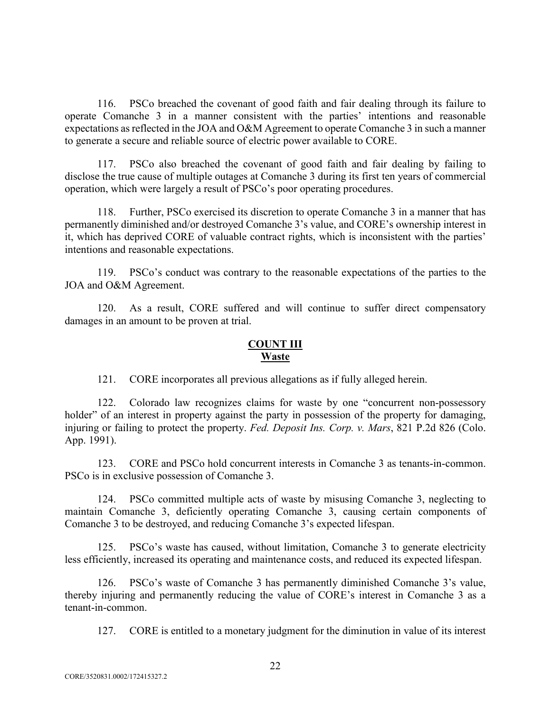116. PSCo breached the covenant of good faith and fair dealing through its failure to operate Comanche 3 in a manner consistent with the parties' intentions and reasonable expectations as reflected in the JOA and O&M Agreement to operate Comanche 3 in such a manner to generate a secure and reliable source of electric power available to CORE.

117. PSCo also breached the covenant of good faith and fair dealing by failing to disclose the true cause of multiple outages at Comanche 3 during its first ten years of commercial operation, which were largely a result of PSCo's poor operating procedures.

118. Further, PSCo exercised its discretion to operate Comanche 3 in a manner that has permanently diminished and/or destroyed Comanche 3's value, and CORE's ownership interest in it, which has deprived CORE of valuable contract rights, which is inconsistent with the parties' intentions and reasonable expectations.

119. PSCo's conduct was contrary to the reasonable expectations of the parties to the JOA and O&M Agreement.

120. As a result, CORE suffered and will continue to suffer direct compensatory damages in an amount to be proven at trial.

#### **COUNT III Waste**

121. CORE incorporates all previous allegations as if fully alleged herein.

122. Colorado law recognizes claims for waste by one "concurrent non-possessory holder" of an interest in property against the party in possession of the property for damaging, injuring or failing to protect the property. *Fed. Deposit Ins. Corp. v. Mars*, 821 P.2d 826 (Colo. App. 1991).

123. CORE and PSCo hold concurrent interests in Comanche 3 as tenants-in-common. PSCo is in exclusive possession of Comanche 3.

124. PSCo committed multiple acts of waste by misusing Comanche 3, neglecting to maintain Comanche 3, deficiently operating Comanche 3, causing certain components of Comanche 3 to be destroyed, and reducing Comanche 3's expected lifespan.

125. PSCo's waste has caused, without limitation, Comanche 3 to generate electricity less efficiently, increased its operating and maintenance costs, and reduced its expected lifespan.

126. PSCo's waste of Comanche 3 has permanently diminished Comanche 3's value, thereby injuring and permanently reducing the value of CORE's interest in Comanche 3 as a tenant-in-common.

127. CORE is entitled to a monetary judgment for the diminution in value of its interest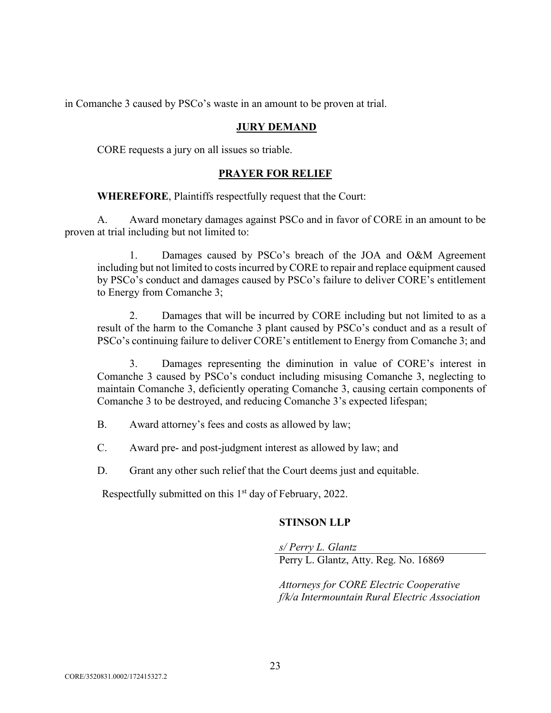in Comanche 3 caused by PSCo's waste in an amount to be proven at trial.

## **JURY DEMAND**

CORE requests a jury on all issues so triable.

#### **PRAYER FOR RELIEF**

**WHEREFORE**, Plaintiffs respectfully request that the Court:

A. Award monetary damages against PSCo and in favor of CORE in an amount to be proven at trial including but not limited to:

1. Damages caused by PSCo's breach of the JOA and O&M Agreement including but not limited to costs incurred by CORE to repair and replace equipment caused by PSCo's conduct and damages caused by PSCo's failure to deliver CORE's entitlement to Energy from Comanche 3;

2. Damages that will be incurred by CORE including but not limited to as a result of the harm to the Comanche 3 plant caused by PSCo's conduct and as a result of PSCo's continuing failure to deliver CORE's entitlement to Energy from Comanche 3; and

3. Damages representing the diminution in value of CORE's interest in Comanche 3 caused by PSCo's conduct including misusing Comanche 3, neglecting to maintain Comanche 3, deficiently operating Comanche 3, causing certain components of Comanche 3 to be destroyed, and reducing Comanche 3's expected lifespan;

B. Award attorney's fees and costs as allowed by law;

C. Award pre- and post-judgment interest as allowed by law; and

D. Grant any other such relief that the Court deems just and equitable.

Respectfully submitted on this 1<sup>st</sup> day of February, 2022.

#### **STINSON LLP**

*s/ Perry L. Glantz*  Perry L. Glantz, Atty. Reg. No. 16869

*Attorneys for CORE Electric Cooperative f/k/a Intermountain Rural Electric Association*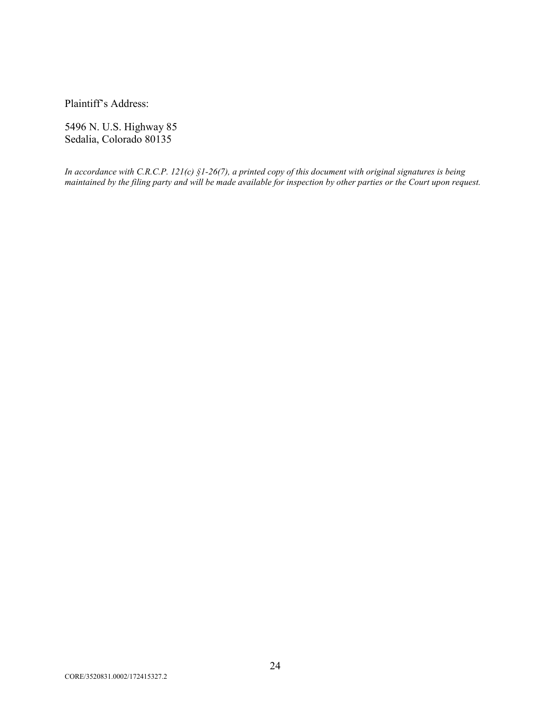Plaintiff's Address:

5496 N. U.S. Highway 85 Sedalia, Colorado 80135

*In accordance with C.R.C.P. 121(c) §1-26(7), a printed copy of this document with original signatures is being maintained by the filing party and will be made available for inspection by other parties or the Court upon request.*